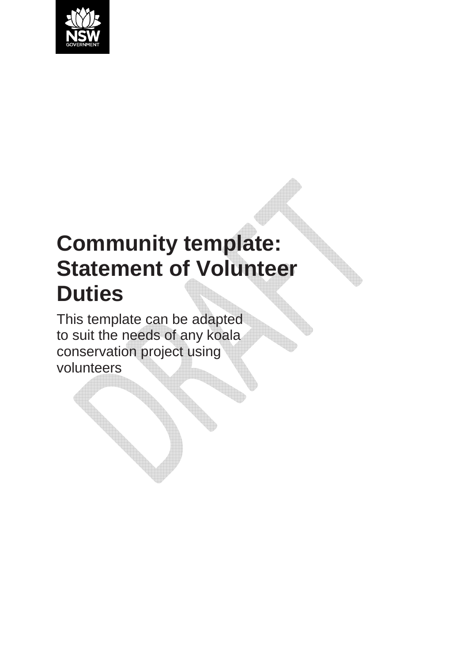

# **Community template: Statement of Volunteer Duties**

This template can be adapted to suit the needs of any koala conservation project using volunteers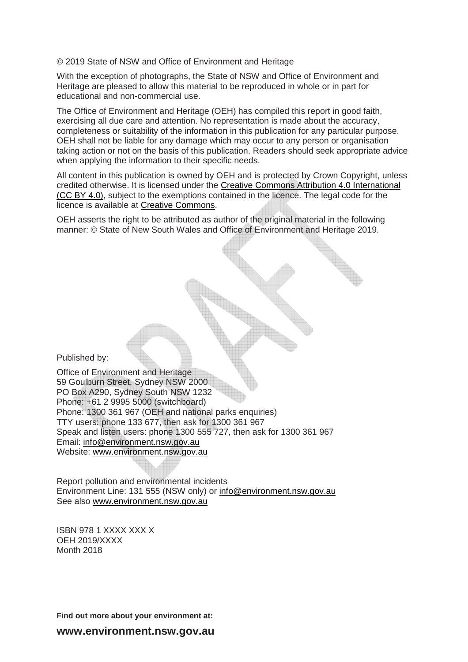© 2019 State of NSW and Office of Environment and Heritage

With the exception of photographs, the State of NSW and Office of Environment and Heritage are pleased to allow this material to be reproduced in whole or in part for educational and non-commercial use.

The Office of Environment and Heritage (OEH) has compiled this report in good faith, exercising all due care and attention. No representation is made about the accuracy, completeness or suitability of the information in this publication for any particular purpose. OEH shall not be liable for any damage which may occur to any person or organisation taking action or not on the basis of this publication. Readers should seek appropriate advice when applying the information to their specific needs.

All content in this publication is owned by OEH and is protected by Crown Copyright, unless credited otherwise. It is licensed under the Creative Commons Attribution 4.0 International (CC BY 4.0), subject to the exemptions contained in the licence. The legal code for the licence is available at Creative Commons.

OEH asserts the right to be attributed as author of the original material in the following manner: © State of New South Wales and Office of Environment and Heritage 2019.

Published by:

Office of Environment and Heritage 59 Goulburn Street, Sydney NSW 2000 PO Box A290, Sydney South NSW 1232 Phone: +61 2 9995 5000 (switchboard) Phone: 1300 361 967 (OEH and national parks enquiries) TTY users: phone 133 677, then ask for 1300 361 967 Speak and listen users: phone 1300 555 727, then ask for 1300 361 967 Email: info@environment.nsw.gov.au Website: www.environment.nsw.gov.au

Report pollution and environmental incidents Environment Line: 131 555 (NSW only) or info@environment.nsw.gov.au See also www.environment.nsw.gov.au

ISBN 978 1 XXXX XXX X OEH 2019/XXXX Month 2018

**Find out more about your environment at:** 

**www.environment.nsw.gov.au**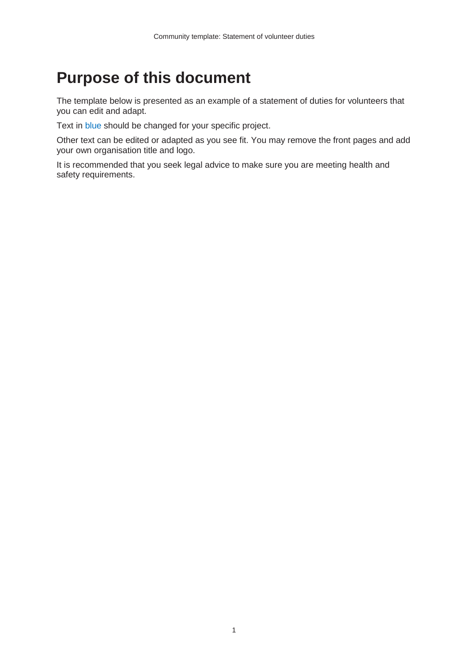# **Purpose of this document**

The template below is presented as an example of a statement of duties for volunteers that you can edit and adapt.

Text in blue should be changed for your specific project.

Other text can be edited or adapted as you see fit. You may remove the front pages and add your own organisation title and logo.

It is recommended that you seek legal advice to make sure you are meeting health and safety requirements.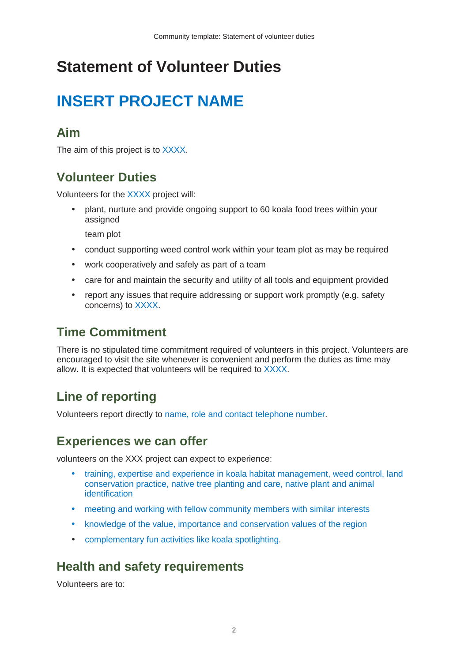# **Statement of Volunteer Duties**

# **INSERT PROJECT NAME**

#### **Aim**

The aim of this project is to XXXX.

## **Volunteer Duties**

Volunteers for the XXXX project will:

• plant, nurture and provide ongoing support to 60 koala food trees within your assigned

team plot

- conduct supporting weed control work within your team plot as may be required
- work cooperatively and safely as part of a team
- care for and maintain the security and utility of all tools and equipment provided
- report any issues that require addressing or support work promptly (e.g. safety concerns) to XXXX.

## **Time Commitment**

There is no stipulated time commitment required of volunteers in this project. Volunteers are encouraged to visit the site whenever is convenient and perform the duties as time may allow. It is expected that volunteers will be required to XXXX.

## **Line of reporting**

Volunteers report directly to name, role and contact telephone number.

#### **Experiences we can offer**

volunteers on the XXX project can expect to experience:

- training, expertise and experience in koala habitat management, weed control, land conservation practice, native tree planting and care, native plant and animal identification
- meeting and working with fellow community members with similar interests
- knowledge of the value, importance and conservation values of the region
- complementary fun activities like koala spotlighting.

## **Health and safety requirements**

Volunteers are to: